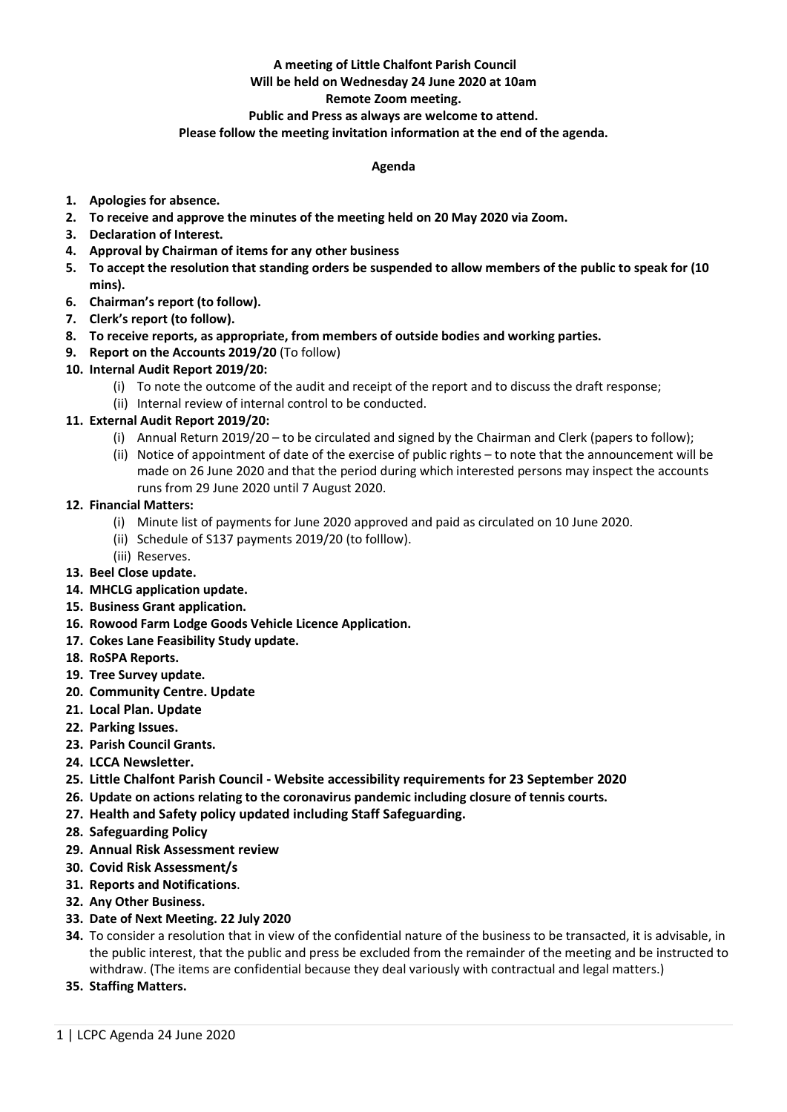# **A meeting of Little Chalfont Parish Council**

## **Will be held on Wednesday 24 June 2020 at 10am**

### **Remote Zoom meeting.**

### **Public and Press as always are welcome to attend.**

#### **Please follow the meeting invitation information at the end of the agenda.**

#### **Agenda**

- **1. Apologies for absence.**
- **2. To receive and approve the minutes of the meeting held on 20 May 2020 via Zoom.**
- **3. Declaration of Interest.**
- **4. Approval by Chairman of items for any other business**
- **5. To accept the resolution that standing orders be suspended to allow members of the public to speak for (10 mins).**
- **6. Chairman's report (to follow).**
- **7. Clerk's report (to follow).**
- **8. To receive reports, as appropriate, from members of outside bodies and working parties.**
- **9. Report on the Accounts 2019/20** (To follow)
- **10. Internal Audit Report 2019/20:**
	- (i) To note the outcome of the audit and receipt of the report and to discuss the draft response;
	- (ii) Internal review of internal control to be conducted.
- **11. External Audit Report 2019/20:**
	- (i) Annual Return 2019/20 to be circulated and signed by the Chairman and Clerk (papers to follow);
	- (ii) Notice of appointment of date of the exercise of public rights to note that the announcement will be made on 26 June 2020 and that the period during which interested persons may inspect the accounts runs from 29 June 2020 until 7 August 2020.
- **12. Financial Matters:**
	- (i) Minute list of payments for June 2020 approved and paid as circulated on 10 June 2020.
	- (ii) Schedule of S137 payments 2019/20 (to folllow).
	- (iii) Reserves.
- **13. Beel Close update.**
- **14. MHCLG application update.**
- **15. Business Grant application.**
- **16. Rowood Farm Lodge Goods Vehicle Licence Application.**
- **17. Cokes Lane Feasibility Study update.**
- **18. RoSPA Reports.**
- **19. Tree Survey update.**
- **20. Community Centre. Update**
- **21. Local Plan. Update**
- **22. Parking Issues.**
- **23. Parish Council Grants.**
- **24. LCCA Newsletter.**
- **25. Little Chalfont Parish Council - Website accessibility requirements for 23 September 2020**
- **26. Update on actions relating to the coronavirus pandemic including closure of tennis courts.**
- **27. Health and Safety policy updated including Staff Safeguarding.**
- **28. Safeguarding Policy**
- **29. Annual Risk Assessment review**
- **30. Covid Risk Assessment/s**
- **31. Reports and Notifications**.
- **32. Any Other Business.**
- **33. Date of Next Meeting. 22 July 2020**
- **34.** To consider a resolution that in view of the confidential nature of the business to be transacted, it is advisable, in the public interest, that the public and press be excluded from the remainder of the meeting and be instructed to withdraw. (The items are confidential because they deal variously with contractual and legal matters.)
- **35. Staffing Matters.**